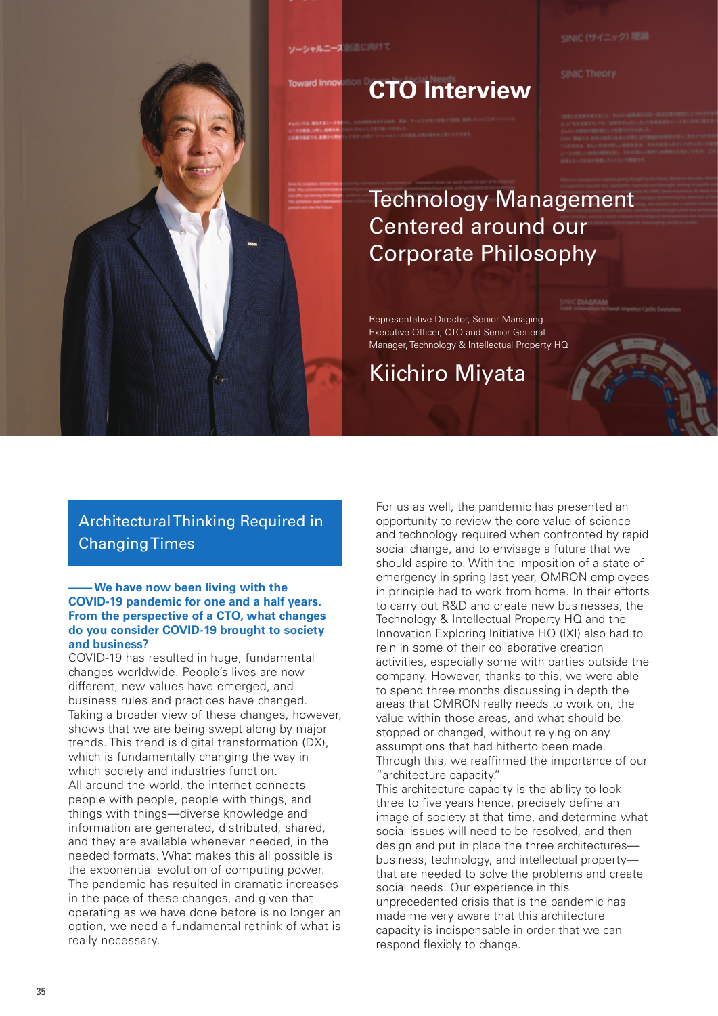ソーシャルニーズ 創造に向けて

ard Inna

# Technology Management Centered around our Corporate Philosophy

Representative Director, Senior Managing Executive Officer, CTO and Senior General Manager, Technology & Intellectual Property HQ

Kiichiro Miyata

**CTO Interview**

## Architectural Thinking Required in Changing Times

#### **– We have now been living with the COVID-19 pandemic for one and a half years. From the perspective of a CTO, what changes do you consider COVID-19 brought to society and business?**

COVID-19 has resulted in huge, fundamental changes worldwide. People's lives are now different, new values have emerged, and business rules and practices have changed. Taking a broader view of these changes, however, shows that we are being swept along by major trends. This trend is digital transformation (DX), which is fundamentally changing the way in which society and industries function. All around the world, the internet connects people with people, people with things, and things with things—diverse knowledge and information are generated, distributed, shared, and they are available whenever needed, in the needed formats. What makes this all possible is the exponential evolution of computing power. The pandemic has resulted in dramatic increases in the pace of these changes, and given that operating as we have done before is no longer an option, we need a fundamental rethink of what is really necessary.

For us as well, the pandemic has presented an opportunity to review the core value of science and technology required when confronted by rapid social change, and to envisage a future that we should aspire to. With the imposition of a state of emergency in spring last year, OMRON employees in principle had to work from home. In their efforts to carry out R&D and create new businesses, the Technology & Intellectual Property HQ and the Innovation Exploring Initiative HQ (IXI) also had to rein in some of their collaborative creation activities, especially some with parties outside the company. However, thanks to this, we were able to spend three months discussing in depth the areas that OMRON really needs to work on, the value within those areas, and what should be stopped or changed, without relying on any assumptions that had hitherto been made. Through this, we reaffirmed the importance of our "architecture capacity."

This architecture capacity is the ability to look three to five years hence, precisely define an image of society at that time, and determine what social issues will need to be resolved, and then design and put in place the three architectures business, technology, and intellectual property that are needed to solve the problems and create social needs. Our experience in this unprecedented crisis that is the pandemic has made me very aware that this architecture capacity is indispensable in order that we can respond flexibly to change.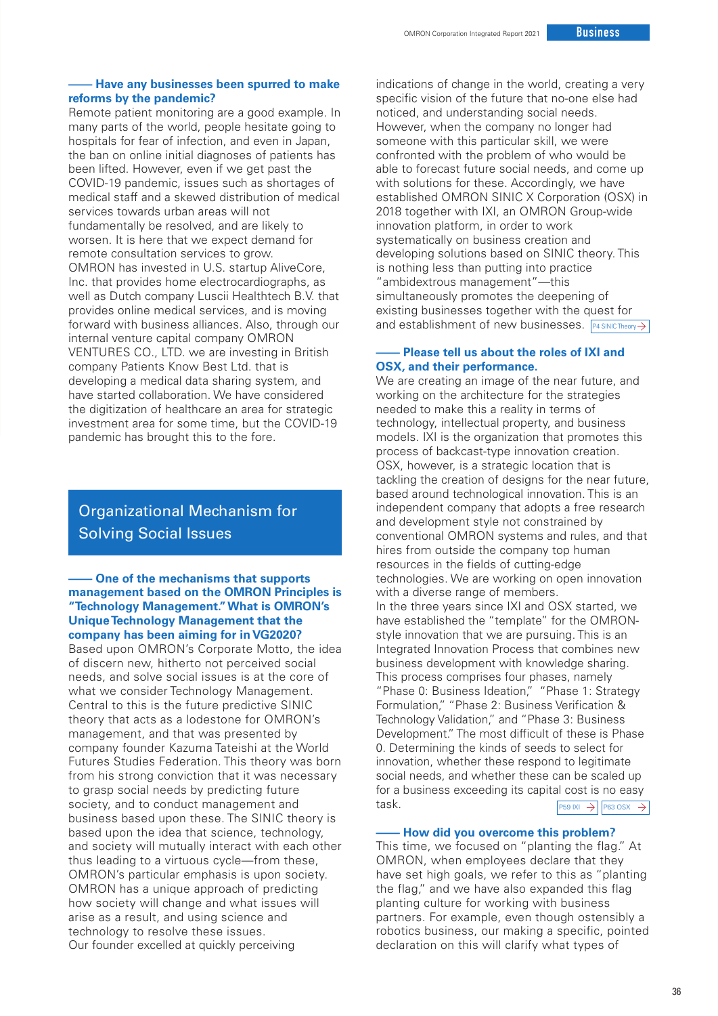### **– Have any businesses been spurred to make reforms by the pandemic?**

Remote patient monitoring are a good example. In many parts of the world, people hesitate going to hospitals for fear of infection, and even in Japan, the ban on online initial diagnoses of patients has been lifted. However, even if we get past the COVID-19 pandemic, issues such as shortages of medical staff and a skewed distribution of medical services towards urban areas will not fundamentally be resolved, and are likely to worsen. It is here that we expect demand for remote consultation services to grow. OMRON has invested in U.S. startup AliveCore, Inc. that provides home electrocardiographs, as well as Dutch company Luscii Healthtech B.V. that provides online medical services, and is moving forward with business alliances. Also, through our internal venture capital company OMRON VENTURES CO., LTD. we are investing in British company Patients Know Best Ltd. that is developing a medical data sharing system, and have started collaboration. We have considered the digitization of healthcare an area for strategic investment area for some time, but the COVID-19 pandemic has brought this to the fore.

## Organizational Mechanism for Solving Social Issues

### **– One of the mechanisms that supports management based on the OMRON Principles is "Technology Management." What is OMRON's Unique Technology Management that the company has been aiming for in VG2020?**

Based upon OMRON's Corporate Motto, the idea of discern new, hitherto not perceived social needs, and solve social issues is at the core of what we consider Technology Management. Central to this is the future predictive SINIC theory that acts as a lodestone for OMRON's management, and that was presented by company founder Kazuma Tateishi at the World Futures Studies Federation. This theory was born from his strong conviction that it was necessary to grasp social needs by predicting future society, and to conduct management and business based upon these. The SINIC theory is based upon the idea that science, technology, and society will mutually interact with each other thus leading to a virtuous cycle—from these, OMRON's particular emphasis is upon society. OMRON has a unique approach of predicting how society will change and what issues will arise as a result, and using science and technology to resolve these issues. Our founder excelled at quickly perceiving

indications of change in the world, creating a very specific vision of the future that no-one else had noticed, and understanding social needs. However, when the company no longer had someone with this particular skill, we were confronted with the problem of who would be able to forecast future social needs, and come up with solutions for these. Accordingly, we have established OMRON SINIC X Corporation (OSX) in 2018 together with IXI, an OMRON Group-wide innovation platform, in order to work systematically on business creation and developing solutions based on SINIC theory. This is nothing less than putting into practice "ambidextrous management"—this simultaneously promotes the deepening of existing businesses together with the quest for

# and establishment of new businesses. **P4 SINIC Theory**<br> **---- Please tell us about the roles of IXI and** <br> **OSY** and their performance **OSX, and their performance.**

 $\boxed{\overrightarrow{P59}}$  IXI  $\rightarrow$   $\boxed{\overrightarrow{P63}}$  OSX  $\rightarrow$ We are creating an image of the near future, and working on the architecture for the strategies needed to make this a reality in terms of technology, intellectual property, and business models. IXI is the organization that promotes this process of backcast-type innovation creation. OSX, however, is a strategic location that is tackling the creation of designs for the near future, based around technological innovation. This is an independent company that adopts a free research and development style not constrained by conventional OMRON systems and rules, and that hires from outside the company top human resources in the fields of cutting-edge technologies. We are working on open innovation with a diverse range of members. In the three years since IXI and OSX started, we have established the "template" for the OMRONstyle innovation that we are pursuing. This is an Integrated Innovation Process that combines new business development with knowledge sharing. This process comprises four phases, namely "Phase 0: Business Ideation," "Phase 1: Strategy Formulation," "Phase 2: Business Verification & Technology Validation," and "Phase 3: Business Development." The most difficult of these is Phase 0. Determining the kinds of seeds to select for innovation, whether these respond to legitimate social needs, and whether these can be scaled up for a business exceeding its capital cost is no easy task.

#### **– How did you overcome this problem?**

This time, we focused on "planting the flag." At OMRON, when employees declare that they have set high goals, we refer to this as "planting the flag," and we have also expanded this flag planting culture for working with business partners. For example, even though ostensibly a robotics business, our making a specific, pointed declaration on this will clarify what types of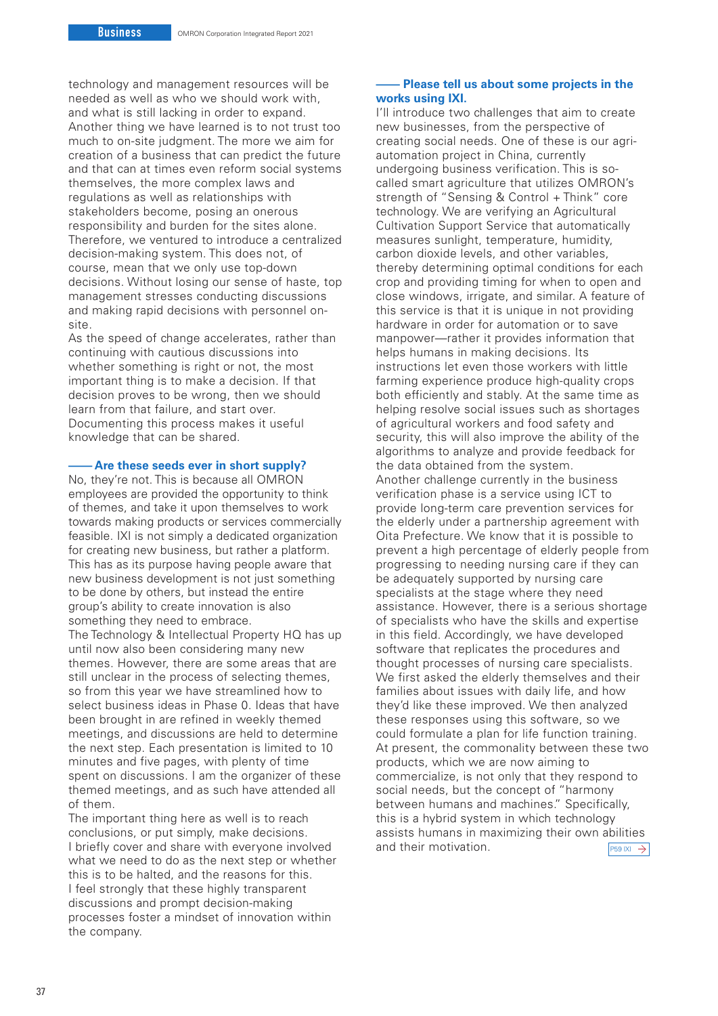technology and management resources will be needed as well as who we should work with, and what is still lacking in order to expand. Another thing we have learned is to not trust too much to on-site judgment. The more we aim for creation of a business that can predict the future and that can at times even reform social systems themselves, the more complex laws and regulations as well as relationships with stakeholders become, posing an onerous responsibility and burden for the sites alone. Therefore, we ventured to introduce a centralized decision-making system. This does not, of course, mean that we only use top-down decisions. Without losing our sense of haste, top management stresses conducting discussions and making rapid decisions with personnel onsite.

As the speed of change accelerates, rather than continuing with cautious discussions into whether something is right or not, the most important thing is to make a decision. If that decision proves to be wrong, then we should learn from that failure, and start over. Documenting this process makes it useful knowledge that can be shared.

#### **– Are these seeds ever in short supply?**

No, they're not. This is because all OMRON employees are provided the opportunity to think of themes, and take it upon themselves to work towards making products or services commercially feasible. IXI is not simply a dedicated organization for creating new business, but rather a platform. This has as its purpose having people aware that new business development is not just something to be done by others, but instead the entire group's ability to create innovation is also something they need to embrace. The Technology & Intellectual Property HQ has up until now also been considering many new themes. However, there are some areas that are still unclear in the process of selecting themes, so from this year we have streamlined how to select business ideas in Phase 0. Ideas that have been brought in are refined in weekly themed meetings, and discussions are held to determine the next step. Each presentation is limited to 10 minutes and five pages, with plenty of time spent on discussions. I am the organizer of these themed meetings, and as such have attended all of them.

The important thing here as well is to reach conclusions, or put simply, make decisions. I briefly cover and share with everyone involved what we need to do as the next step or whether this is to be halted, and the reasons for this. I feel strongly that these highly transparent discussions and prompt decision-making processes foster a mindset of innovation within the company.

### **– Please tell us about some projects in the works using IXI.**

I'll introduce two challenges that aim to create new businesses, from the perspective of creating social needs. One of these is our agriautomation project in China, currently undergoing business verification. This is socalled smart agriculture that utilizes OMRON's strength of "Sensing & Control + Think" core technology. We are verifying an Agricultural Cultivation Support Service that automatically measures sunlight, temperature, humidity, carbon dioxide levels, and other variables, thereby determining optimal conditions for each crop and providing timing for when to open and close windows, irrigate, and similar. A feature of this service is that it is unique in not providing hardware in order for automation or to save manpower—rather it provides information that helps humans in making decisions. Its instructions let even those workers with little farming experience produce high-quality crops both efficiently and stably. At the same time as helping resolve social issues such as shortages of agricultural workers and food safety and security, this will also improve the ability of the algorithms to analyze and provide feedback for the data obtained from the system. Another challenge currently in the business verification phase is a service using ICT to provide long-term care prevention services for the elderly under a partnership agreement with Oita Prefecture. We know that it is possible to prevent a high percentage of elderly people from progressing to needing nursing care if they can be adequately supported by nursing care specialists at the stage where they need assistance. However, there is a serious shortage of specialists who have the skills and expertise in this field. Accordingly, we have developed software that replicates the procedures and thought processes of nursing care specialists. We first asked the elderly themselves and their families about issues with daily life, and how they'd like these improved. We then analyzed these responses using this software, so we could formulate a plan for life function training. At present, the commonality between these two products, which we are now aiming to commercialize, is not only that they respond to social needs, but the concept of "harmony between humans and machines." Specifically, this is a hybrid system in which technology assists humans in maximizing their own abilities and their motivation.  $\boxed{\text{P59 N1 } \rightarrow}$